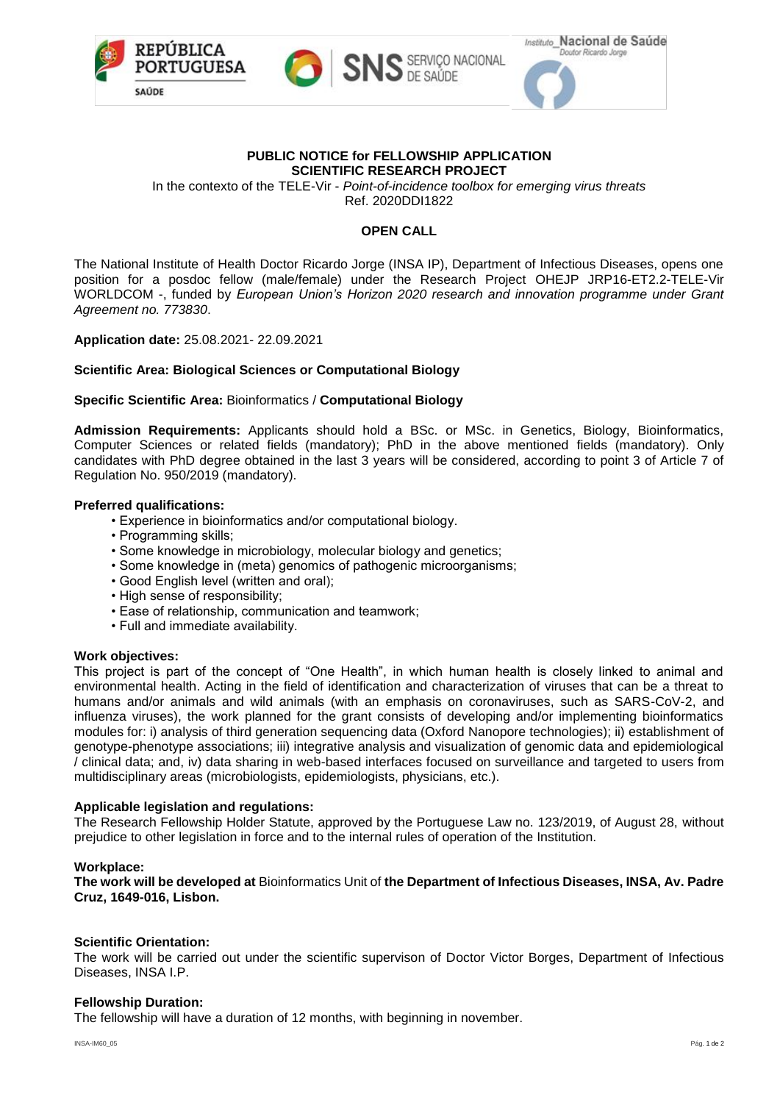





## **PUBLIC NOTICE for FELLOWSHIP APPLICATION SCIENTIFIC RESEARCH PROJECT**

In the contexto of the TELE-Vir - *Point-of-incidence toolbox for emerging virus threats* Ref. 2020DDI1822

# **OPEN CALL**

The National Institute of Health Doctor Ricardo Jorge (INSA IP), Department of Infectious Diseases, opens one position for a posdoc fellow (male/female) under the Research Project OHEJP JRP16-ET2.2-TELE-Vir WORLDCOM -, funded by *European Union's Horizon 2020 research and innovation programme under Grant Agreement no. 773830*.

**Application date:** 25.08.2021- 22.09.2021

## **Scientific Area: Biological Sciences or Computational Biology**

## **Specific Scientific Area:** Bioinformatics / **Computational Biology**

**Admission Requirements:** Applicants should hold a BSc. or MSc. in Genetics, Biology, Bioinformatics, Computer Sciences or related fields (mandatory); PhD in the above mentioned fields (mandatory). Only candidates with PhD degree obtained in the last 3 years will be considered, according to point 3 of Article 7 of Regulation No. 950/2019 (mandatory).

## **Preferred qualifications:**

- Experience in bioinformatics and/or computational biology.
- Programming skills;
- Some knowledge in microbiology, molecular biology and genetics;
- Some knowledge in (meta) genomics of pathogenic microorganisms;
- Good English level (written and oral);
- High sense of responsibility:
- Ease of relationship, communication and teamwork;
- Full and immediate availability.

## **Work objectives:**

This project is part of the concept of "One Health", in which human health is closely linked to animal and environmental health. Acting in the field of identification and characterization of viruses that can be a threat to humans and/or animals and wild animals (with an emphasis on coronaviruses, such as SARS-CoV-2, and influenza viruses), the work planned for the grant consists of developing and/or implementing bioinformatics modules for: i) analysis of third generation sequencing data (Oxford Nanopore technologies); ii) establishment of genotype-phenotype associations; iii) integrative analysis and visualization of genomic data and epidemiological / clinical data; and, iv) data sharing in web-based interfaces focused on surveillance and targeted to users from multidisciplinary areas (microbiologists, epidemiologists, physicians, etc.).

## **Applicable legislation and regulations:**

The Research Fellowship Holder Statute, approved by the Portuguese Law no. 123/2019, of August 28, without prejudice to other legislation in force and to the internal rules of operation of the Institution.

## **Workplace:**

**The work will be developed at** Bioinformatics Unit of **the Department of Infectious Diseases, INSA, Av. Padre Cruz, 1649-016, Lisbon.**

## **Scientific Orientation:**

The work will be carried out under the scientific supervison of Doctor Victor Borges, Department of Infectious Diseases, INSA I.P.

## **Fellowship Duration:**

The fellowship will have a duration of 12 months, with beginning in november.